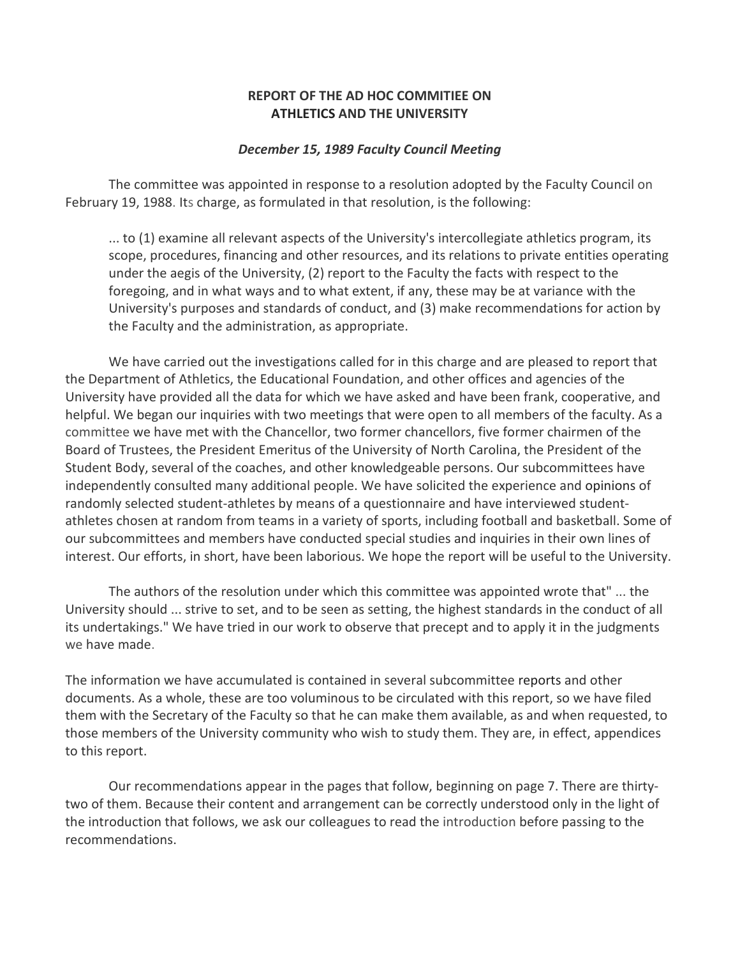## **REPORT OF THE AD HOC COMMITIEE ON ATHLETICS AND THE UNIVERSITY**

#### *December 15, 1989 Faculty Council Meeting*

The committee was appointed in response to a resolution adopted by the Faculty Council on February 19, 1988. Its charge, as formulated in that resolution, is the following:

... to (1) examine all relevant aspects of the University's intercollegiate athletics program, its scope, procedures, financing and other resources, and its relations to private entities operating under the aegis of the University, (2) report to the Faculty the facts with respect to the foregoing, and in what ways and to what extent, if any, these may be at variance with the University's purposes and standards of conduct, and (3) make recommendations for action by the Faculty and the administration, as appropriate.

We have carried out the investigations called for in this charge and are pleased to report that the Department of Athletics, the Educational Foundation, and other offices and agencies of the University have provided all the data for which we have asked and have been frank, cooperative, and helpful. We began our inquiries with two meetings that were open to all members of the faculty. As a committee we have met with the Chancellor, two former chancellors, five former chairmen of the Board of Trustees, the President Emeritus of the University of North Carolina, the President of the Student Body, several of the coaches, and other knowledgeable persons. Our subcommittees have independently consulted many additional people. We have solicited the experience and opinions of randomly selected student-athletes by means of a questionnaire and have interviewed studentathletes chosen at random from teams in a variety of sports, including football and basketball. Some of our subcommittees and members have conducted special studies and inquiries in their own lines of interest. Our efforts, in short, have been laborious. We hope the report will be useful to the University.

The authors of the resolution under which this committee was appointed wrote that" ... the University should ... strive to set, and to be seen as setting, the highest standards in the conduct of all its undertakings." We have tried in our work to observe that precept and to apply it in the judgments we have made.

The information we have accumulated is contained in several subcommittee reports and other documents. As a whole, these are too voluminous to be circulated with this report, so we have filed them with the Secretary of the Faculty so that he can make them available, as and when requested, to those members of the University community who wish to study them. They are, in effect, appendices to this report.

Our recommendations appear in the pages that follow, beginning on page 7. There are thirtytwo of them. Because their content and arrangement can be correctly understood only in the light of the introduction that follows, we ask our colleagues to read the introduction before passing to the recommendations.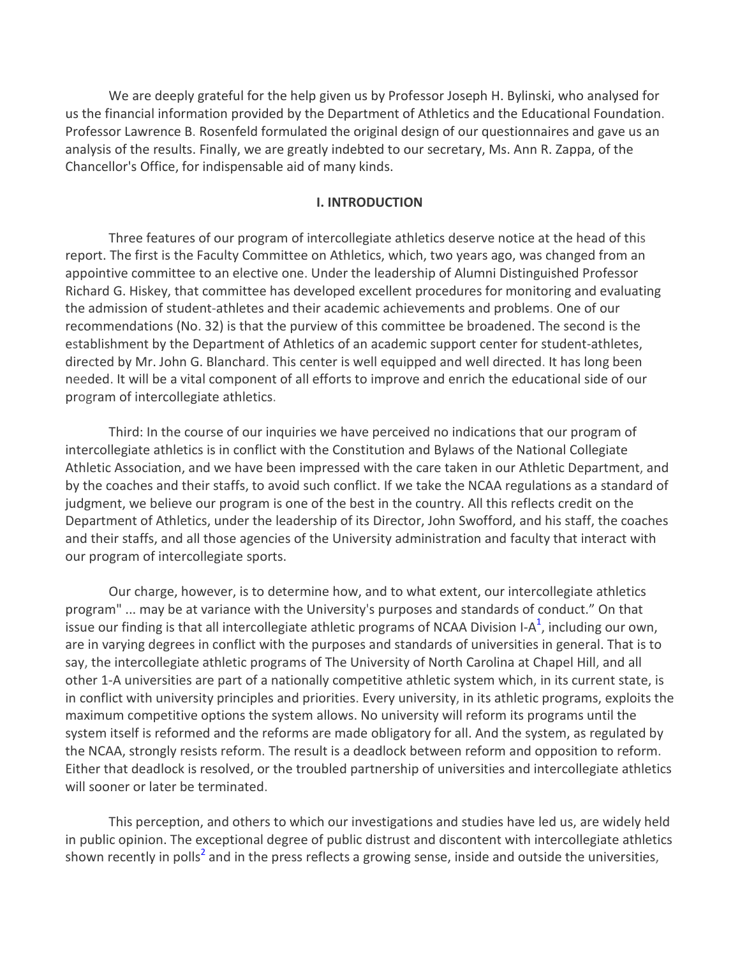We are deeply grateful for the help given us by Professor Joseph H. Bylinski, who analysed for us the financial information provided by the Department of Athletics and the Educational Foundation. Professor Lawrence B. Rosenfeld formulated the original design of our questionnaires and gave us an analysis of the results. Finally, we are greatly indebted to our secretary, Ms. Ann R. Zappa, of the Chancellor's Office, for indispensable aid of many kinds.

#### **I. INTRODUCTION**

Three features of our program of intercollegiate athletics deserve notice at the head of this report. The first is the Faculty Committee on Athletics, which, two years ago, was changed from an appointive committee to an elective one. Under the leadership of Alumni Distinguished Professor Richard G. Hiskey, that committee has developed excellent procedures for monitoring and evaluating the admission of student-athletes and their academic achievements and problems. One of our recommendations (No. 32) is that the purview of this committee be broadened. The second is the establishment by the Department of Athletics of an academic support center for student-athletes, directed by Mr. John G. Blanchard. This center is well equipped and well directed. It has long been needed. It will be a vital component of all efforts to improve and enrich the educational side of our program of intercollegiate athletics.

Third: In the course of our inquiries we have perceived no indications that our program of intercollegiate athletics is in conflict with the Constitution and Bylaws of the National Collegiate Athletic Association, and we have been impressed with the care taken in our Athletic Department, and by the coaches and their staffs, to avoid such conflict. If we take the NCAA regulations as a standard of judgment, we believe our program is one of the best in the country. All this reflects credit on the Department of Athletics, under the leadership of its Director, John Swofford, and his staff, the coaches and their staffs, and all those agencies of the University administration and faculty that interact with our program of intercollegiate sports.

Our charge, however, is to determine how, and to what extent, our intercollegiate athletics program" ... may be at variance with the University's purposes and standards of conduct." On that issue our finding is that all intercollegiate athletic programs of NCAA Division I-A<sup>1</sup>, including our own, are in varying degrees in conflict with the purposes and standards of universities in general. That is to say, the intercollegiate athletic programs of The University of North Carolina at Chapel Hill, and all other 1-A universities are part of a nationally competitive athletic system which, in its current state, is in conflict with university principles and priorities. Every university, in its athletic programs, exploits the maximum competitive options the system allows. No university will reform its programs until the system itself is reformed and the reforms are made obligatory for all. And the system, as regulated by the NCAA, strongly resists reform. The result is a deadlock between reform and opposition to reform. Either that deadlock is resolved, or the troubled partnership of universities and intercollegiate athletics will sooner or later be terminated.

This perception, and others to which our investigations and studies have led us, are widely held in public opinion. The exceptional degree of public distrust and discontent with intercollegiate athletics shown recently in polls<sup>2</sup> and in the press reflects a growing sense, inside and outside the universities,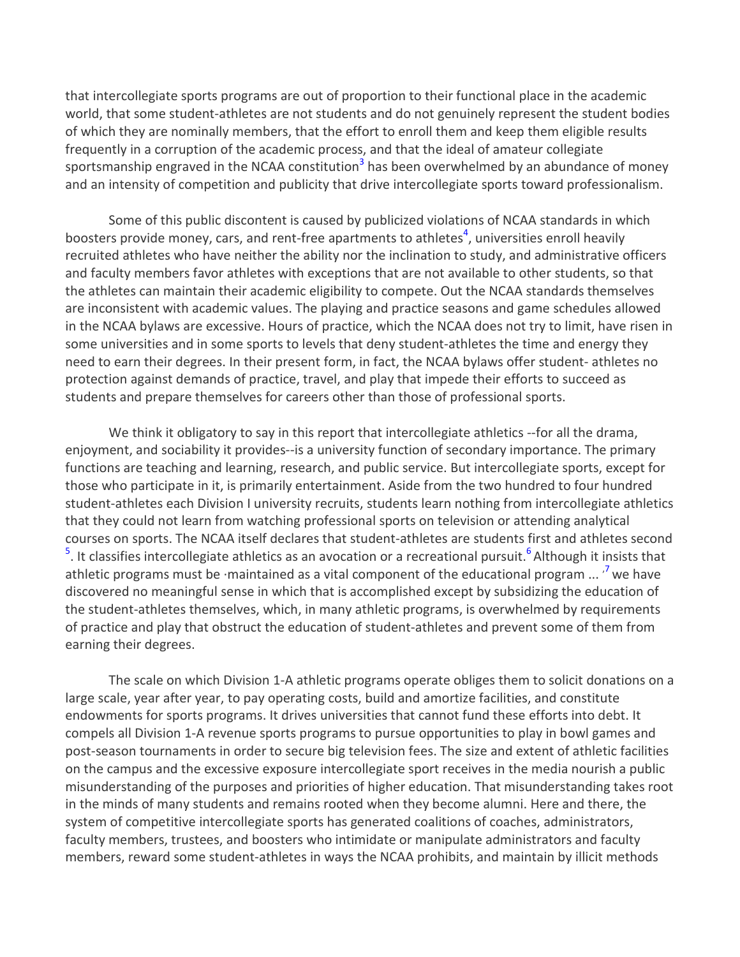that intercollegiate sports programs are out of proportion to their functional place in the academic world, that some student-athletes are not students and do not genuinely represent the student bodies of which they are nominally members, that the effort to enroll them and keep them eligible results frequently in a corruption of the academic process, and that the ideal of amateur collegiate sportsmanship engraved in the NCAA constitution<sup>[3](#page-13-0)</sup> has been overwhelmed by an abundance of money and an intensity of competition and publicity that drive intercollegiate sports toward professionalism.

Some of this public discontent is caused by publicized violations of NCAA standards in which boosters provide money, cars, and rent-free apartments to athletes<sup>4</sup>, universities enroll heavily recruited athletes who have neither the ability nor the inclination to study, and administrative officers and faculty members favor athletes with exceptions that are not available to other students, so that the athletes can maintain their academic eligibility to compete. Out the NCAA standards themselves are inconsistent with academic values. The playing and practice seasons and game schedules allowed in the NCAA bylaws are excessive. Hours of practice, which the NCAA does not try to limit, have risen in some universities and in some sports to levels that deny student-athletes the time and energy they need to earn their degrees. In their present form, in fact, the NCAA bylaws offer student- athletes no protection against demands of practice, travel, and play that impede their efforts to succeed as students and prepare themselves for careers other than those of professional sports.

We think it obligatory to say in this report that intercollegiate athletics --for all the drama, enjoyment, and sociability it provides--is a university function of secondary importance. The primary functions are teaching and learning, research, and public service. But intercollegiate sports, except for those who participate in it, is primarily entertainment. Aside from the two hundred to four hundred student-athletes each Division I university recruits, students learn nothing from intercollegiate athletics that they could not learn from watching professional sports on television or attending analytical courses on sports. The NCAA itself declares that student-athletes are students first and athletes second <sup>[5](#page-13-2)</sup>. It classifies intercollegiate athletics as an avocation or a recreational pursuit.<sup>6</sup> Although it insists that athletic programs must be  $\cdot$ maintained as a vital component of the educational program ...  $\cdot$ <sup>7</sup> we have discovered no meaningful sense in which that is accomplished except by subsidizing the education of the student-athletes themselves, which, in many athletic programs, is overwhelmed by requirements of practice and play that obstruct the education of student-athletes and prevent some of them from earning their degrees.

<span id="page-2-0"></span>The scale on which Division 1-A athletic programs operate obliges them to solicit donations on a large scale, year after year, to pay operating costs, build and amortize facilities, and constitute endowments for sports programs. It drives universities that cannot fund these efforts into debt. It compels all Division 1-A revenue sports programs to pursue opportunities to play in bowl games and post-season tournaments in order to secure big television fees. The size and extent of athletic facilities on the campus and the excessive exposure intercollegiate sport receives in the media nourish a public misunderstanding of the purposes and priorities of higher education. That misunderstanding takes root in the minds of many students and remains rooted when they become alumni. Here and there, the system of competitive intercollegiate sports has generated coalitions of coaches, administrators, faculty members, trustees, and boosters who intimidate or manipulate administrators and faculty members, reward some student-athletes in ways the NCAA prohibits, and maintain by illicit methods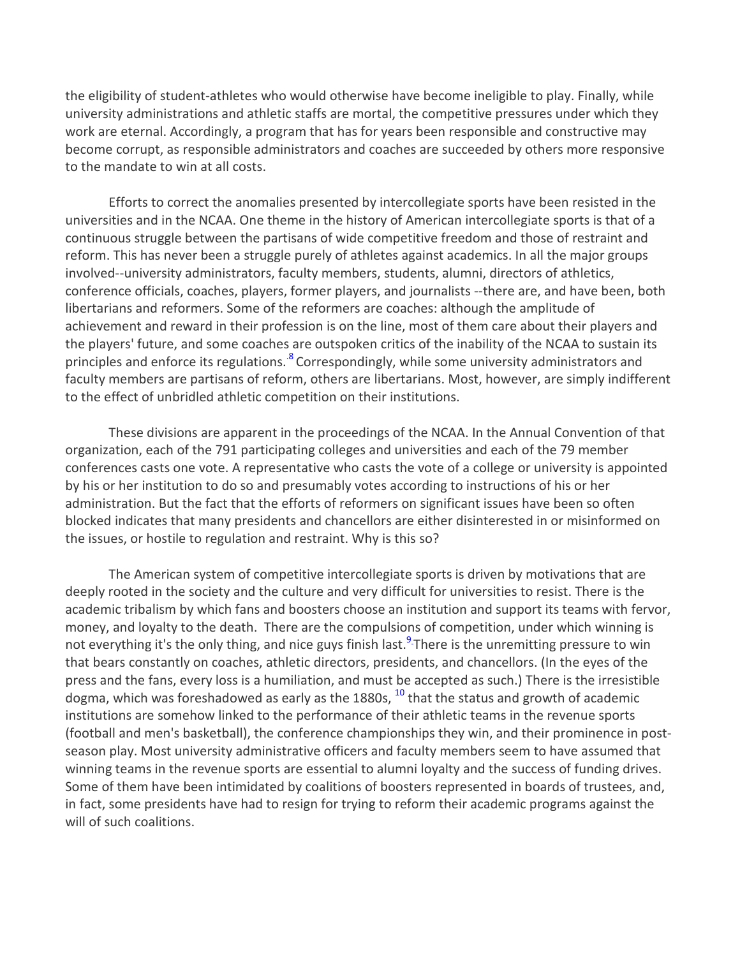the eligibility of student-athletes who would otherwise have become ineligible to play. Finally, while university administrations and athletic staffs are mortal, the competitive pressures under which they work are eternal. Accordingly, a program that has for years been responsible and constructive may become corrupt, as responsible administrators and coaches are succeeded by others more responsive to the mandate to win at all costs.

Efforts to correct the anomalies presented by intercollegiate sports have been resisted in the universities and in the NCAA. One theme in the history of American intercollegiate sports is that of a continuous struggle between the partisans of wide competitive freedom and those of restraint and reform. This has never been a struggle purely of athletes against academics. In all the major groups involved--university administrators, faculty members, students, alumni, directors of athletics, conference officials, coaches, players, former players, and journalists --there are, and have been, both libertarians and reformers. Some of the reformers are coaches: although the amplitude of achievement and reward in their profession is on the line, most of them care about their players and the players' future, and some coaches are outspoken critics of the inability of the NCAA to sustain its principles and enforce its regulations.<sup>8</sup> Correspondingly, while some university administrators and faculty members are partisans of reform, others are libertarians. Most, however, are simply indifferent to the effect of unbridled athletic competition on their institutions.

These divisions are apparent in the proceedings of the NCAA. In the Annual Convention of that organization, each of the 791 participating colleges and universities and each of the 79 member conferences casts one vote. A representative who casts the vote of a college or university is appointed by his or her institution to do so and presumably votes according to instructions of his or her administration. But the fact that the efforts of reformers on significant issues have been so often blocked indicates that many presidents and chancellors are either disinterested in or misinformed on the issues, or hostile to regulation and restraint. Why is this so?

The American system of competitive intercollegiate sports is driven by motivations that are deeply rooted in the society and the culture and very difficult for universities to resist. There is the academic tribalism by which fans and boosters choose an institution and support its teams with fervor, money, and loyalty to the death. There are the compulsions of competition, under which winning is not everything it's the only thing, and nice guys finish last.<sup>9</sup> There is the unremitting pressure to win that bears constantly on coaches, athletic directors, presidents, and chancellors. (In the eyes of the press and the fans, every loss is a humiliation, and must be accepted as such.) There is the irresistible dogma, which was foreshadowed as early as the 1880s,  $^{10}$  $^{10}$  $^{10}$  that the status and growth of academic institutions are somehow linked to the performance of their athletic teams in the revenue sports (football and men's basketball), the conference championships they win, and their prominence in postseason play. Most university administrative officers and faculty members seem to have assumed that winning teams in the revenue sports are essential to alumni loyalty and the success of funding drives. Some of them have been intimidated by coalitions of boosters represented in boards of trustees, and, in fact, some presidents have had to resign for trying to reform their academic programs against the will of such coalitions.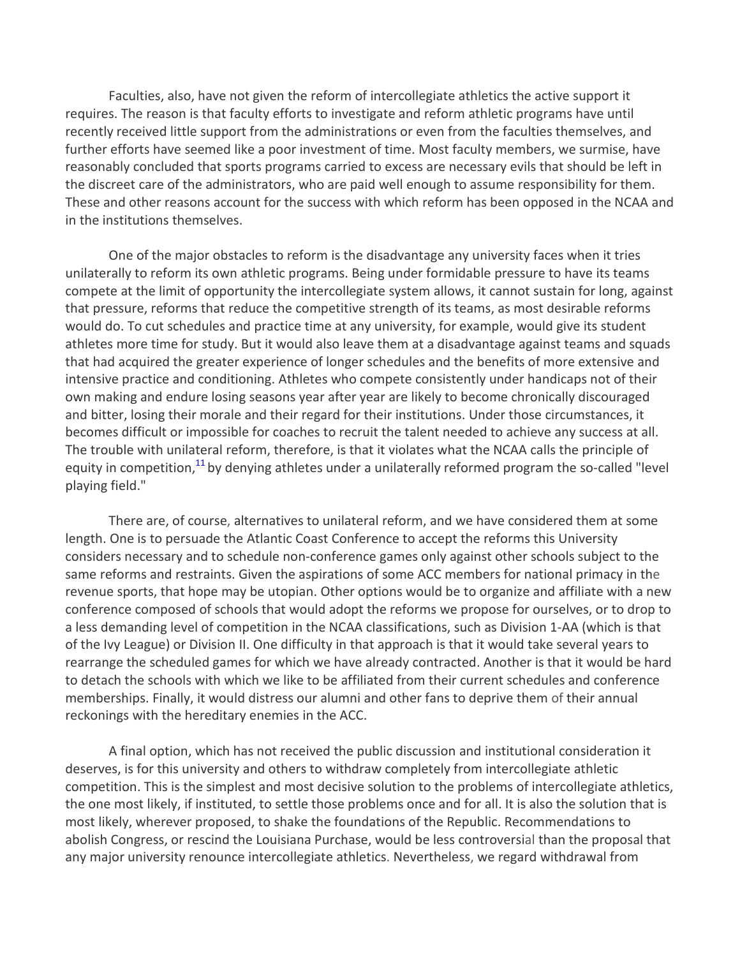Faculties, also, have not given the reform of intercollegiate athletics the active support it requires. The reason is that faculty efforts to investigate and reform athletic programs have until recently received little support from the administrations or even from the faculties themselves, and further efforts have seemed like a poor investment of time. Most faculty members, we surmise, have reasonably concluded that sports programs carried to excess are necessary evils that should be left in the discreet care of the administrators, who are paid well enough to assume responsibility for them. These and other reasons account for the success with which reform has been opposed in the NCAA and in the institutions themselves.

One of the major obstacles to reform is the disadvantage any university faces when it tries unilaterally to reform its own athletic programs. Being under formidable pressure to have its teams compete at the limit of opportunity the intercollegiate system allows, it cannot sustain for long, against that pressure, reforms that reduce the competitive strength of its teams, as most desirable reforms would do. To cut schedules and practice time at any university, for example, would give its student athletes more time for study. But it would also leave them at a disadvantage against teams and squads that had acquired the greater experience of longer schedules and the benefits of more extensive and intensive practice and conditioning. Athletes who compete consistently under handicaps not of their own making and endure losing seasons year after year are likely to become chronically discouraged and bitter, losing their morale and their regard for their institutions. Under those circumstances, it becomes difficult or impossible for coaches to recruit the talent needed to achieve any success at all. The trouble with unilateral reform, therefore, is that it violates what the NCAA calls the principle of equity in competition, $11$  by denying athletes under a unilaterally reformed program the so-called "level playing field."

There are, of course, alternatives to unilateral reform, and we have considered them at some length. One is to persuade the Atlantic Coast Conference to accept the reforms this University considers necessary and to schedule non-conference games only against other schools subject to the same reforms and restraints. Given the aspirations of some ACC members for national primacy in the revenue sports, that hope may be utopian. Other options would be to organize and affiliate with a new conference composed of schools that would adopt the reforms we propose for ourselves, or to drop to a less demanding level of competition in the NCAA classifications, such as Division 1-AA (which is that of the Ivy League) or Division II. One difficulty in that approach is that it would take several years to rearrange the scheduled games for which we have already contracted. Another is that it would be hard to detach the schools with which we like to be affiliated from their current schedules and conference memberships. Finally, it would distress our alumni and other fans to deprive them of their annual reckonings with the hereditary enemies in the ACC.

A final option, which has not received the public discussion and institutional consideration it deserves, is for this university and others to withdraw completely from intercollegiate athletic competition. This is the simplest and most decisive solution to the problems of intercollegiate athletics, the one most likely, if instituted, to settle those problems once and for all. It is also the solution that is most likely, wherever proposed, to shake the foundations of the Republic. Recommendations to abolish Congress, or rescind the Louisiana Purchase, would be less controversial than the proposal that any major university renounce intercollegiate athletics. Nevertheless, we regard withdrawal from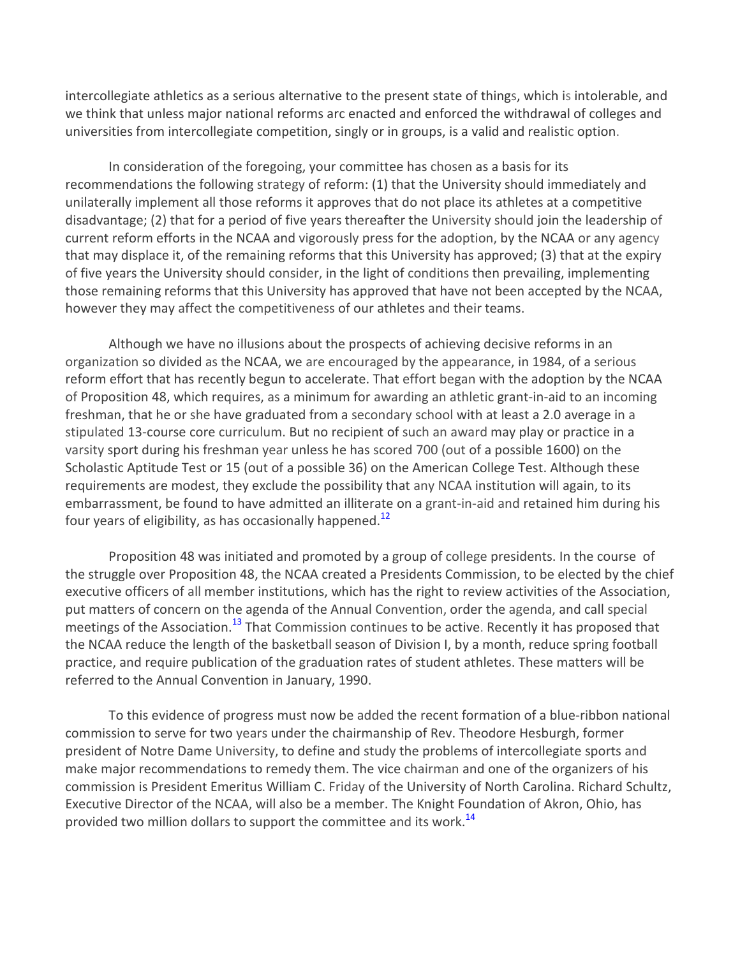intercollegiate athletics as a serious alternative to the present state of things, which is intolerable, and we think that unless major national reforms arc enacted and enforced the withdrawal of colleges and universities from intercollegiate competition, singly or in groups, is a valid and realistic option.

In consideration of the foregoing, your committee has chosen as a basis for its recommendations the following strategy of reform: (1) that the University should immediately and unilaterally implement all those reforms it approves that do not place its athletes at a competitive disadvantage; (2) that for a period of five years thereafter the University should join the leadership of current reform efforts in the NCAA and vigorously press for the adoption, by the NCAA or any agency that may displace it, of the remaining reforms that this University has approved; (3) that at the expiry of five years the University should consider, in the light of conditions then prevailing, implementing those remaining reforms that this University has approved that have not been accepted by the NCAA, however they may affect the competitiveness of our athletes and their teams.

Although we have no illusions about the prospects of achieving decisive reforms in an organization so divided as the NCAA, we are encouraged by the appearance, in 1984, of a serious reform effort that has recently begun to accelerate. That effort began with the adoption by the NCAA of Proposition 48, which requires, as a minimum for awarding an athletic grant-in-aid to an incoming freshman, that he or she have graduated from a secondary school with at least a 2.0 average in a stipulated 13-course core curriculum. But no recipient of such an award may play or practice in a varsity sport during his freshman year unless he has scored 700 (out of a possible 1600) on the Scholastic Aptitude Test or 15 (out of a possible 36) on the American College Test. Although these requirements are modest, they exclude the possibility that any NCAA institution will again, to its embarrassment, be found to have admitted an illiterate on a grant-in-aid and retained him during his four years of eligibility, as has occasionally happened.<sup>12</sup>

Proposition 48 was initiated and promoted by a group of college presidents. In the course of the struggle over Proposition 48, the NCAA created a Presidents Commission, to be elected by the chief executive officers of all member institutions, which has the right to review activities of the Association, put matters of concern on the agenda of the Annual Convention, order the agenda, and call special meetings of the Association.<sup>13</sup> That Commission continues to be active. Recently it has proposed that the NCAA reduce the length of the basketball season of Division I, by a month, reduce spring football practice, and require publication of the graduation rates of student athletes. These matters will be referred to the Annual Convention in January, 1990.

To this evidence of progress must now be added the recent formation of a blue-ribbon national commission to serve for two years under the chairmanship of Rev. Theodore Hesburgh, former president of Notre Dame University, to define and study the problems of intercollegiate sports and make major recommendations to remedy them. The vice chairman and one of the organizers of his commission is President Emeritus William C. Friday of the University of North Carolina. Richard Schultz, Executive Director of the NCAA, will also be a member. The Knight Foundation of Akron, Ohio, has provided two million dollars to support the committee and its work.<sup>14</sup>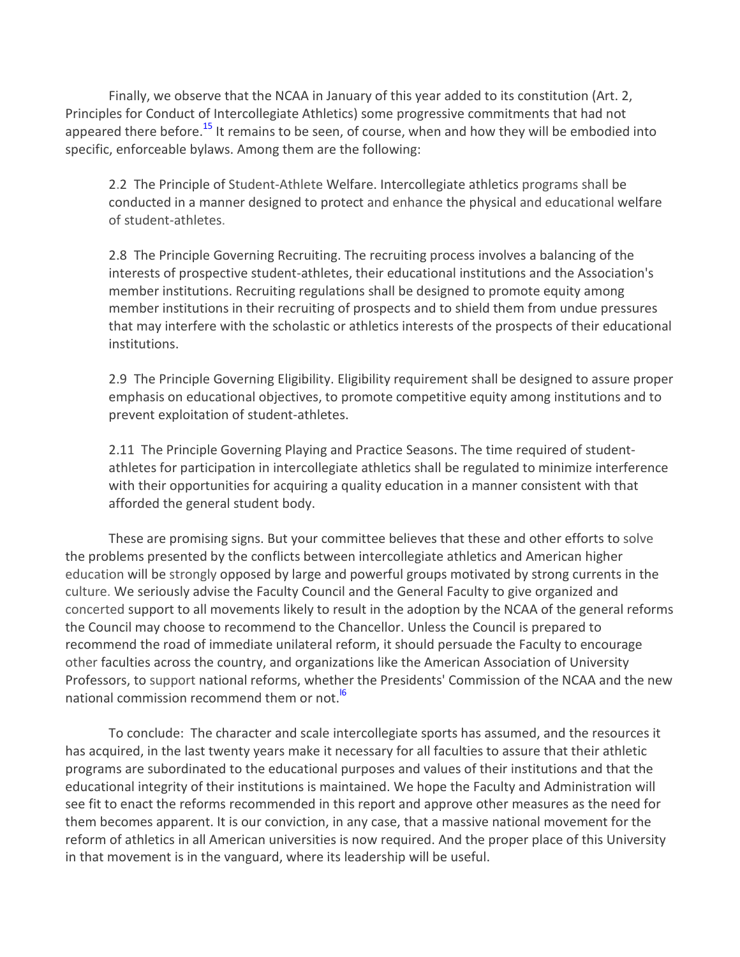Finally, we observe that the NCAA in January of this year added to its constitution (Art. 2, Principles for Conduct of Intercollegiate Athletics) some progressive commitments that had not appeared there before.<sup>15</sup> It remains to be seen, of course, when and how they will be embodied into specific, enforceable bylaws. Among them are the following:

2.2 The Principle of Student-Athlete Welfare. Intercollegiate athletics programs shall be conducted in a manner designed to protect and enhance the physical and educational welfare of student-athletes.

2.8 The Principle Governing Recruiting. The recruiting process involves a balancing of the interests of prospective student-athletes, their educational institutions and the Association's member institutions. Recruiting regulations shall be designed to promote equity among member institutions in their recruiting of prospects and to shield them from undue pressures that may interfere with the scholastic or athletics interests of the prospects of their educational institutions.

2.9 The Principle Governing Eligibility. Eligibility requirement shall be designed to assure proper emphasis on educational objectives, to promote competitive equity among institutions and to prevent exploitation of student-athletes.

2.11 The Principle Governing Playing and Practice Seasons. The time required of studentathletes for participation in intercollegiate athletics shall be regulated to minimize interference with their opportunities for acquiring a quality education in a manner consistent with that afforded the general student body.

These are promising signs. But your committee believes that these and other efforts to solve the problems presented by the conflicts between intercollegiate athletics and American higher education will be strongly opposed by large and powerful groups motivated by strong currents in the culture. We seriously advise the Faculty Council and the General Faculty to give organized and concerted support to all movements likely to result in the adoption by the NCAA of the general reforms the Council may choose to recommend to the Chancellor. Unless the Council is prepared to recommend the road of immediate unilateral reform, it should persuade the Faculty to encourage other faculties across the country, and organizations like the American Association of University Professors, to support national reforms, whether the Presidents' Commission of the NCAA and the new national commission recommend them or not.<sup>16</sup>

To conclude: The character and scale intercollegiate sports has assumed, and the resources it has acquired, in the last twenty years make it necessary for all faculties to assure that their athletic programs are subordinated to the educational purposes and values of their institutions and that the educational integrity of their institutions is maintained. We hope the Faculty and Administration will see fit to enact the reforms recommended in this report and approve other measures as the need for them becomes apparent. It is our conviction, in any case, that a massive national movement for the reform of athletics in all American universities is now required. And the proper place of this University in that movement is in the vanguard, where its leadership will be useful.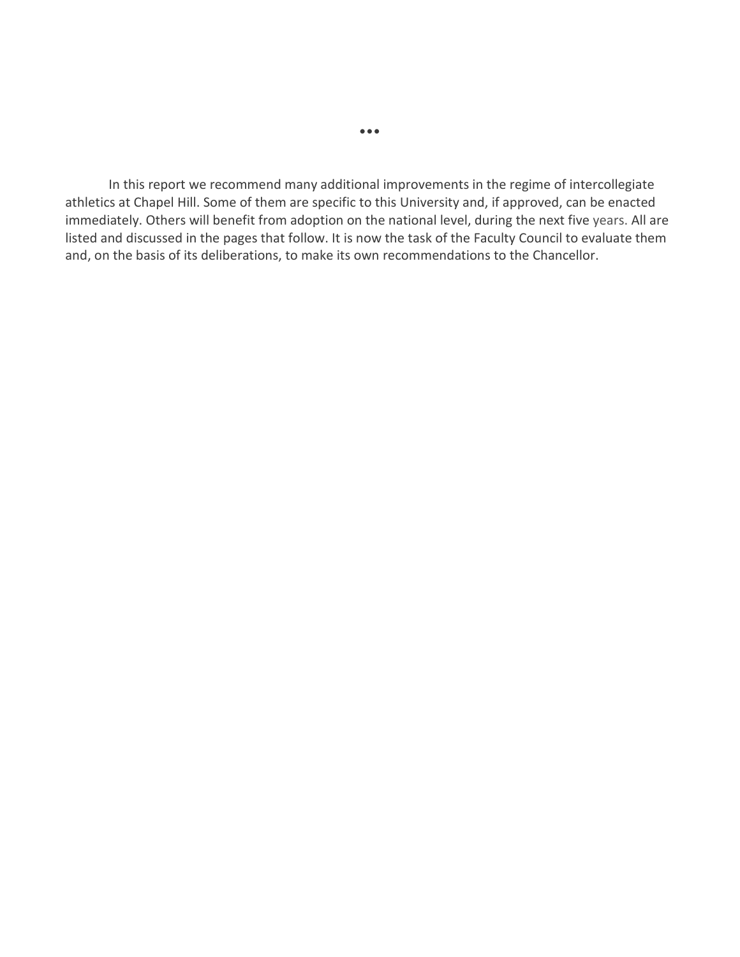In this report we recommend many additional improvements in the regime of intercollegiate athletics at Chapel Hill. Some of them are specific to this University and, if approved, can be enacted immediately. Others will benefit from adoption on the national level, during the next five years. All are listed and discussed in the pages that follow. It is now the task of the Faculty Council to evaluate them and, on the basis of its deliberations, to make its own recommendations to the Chancellor.

•••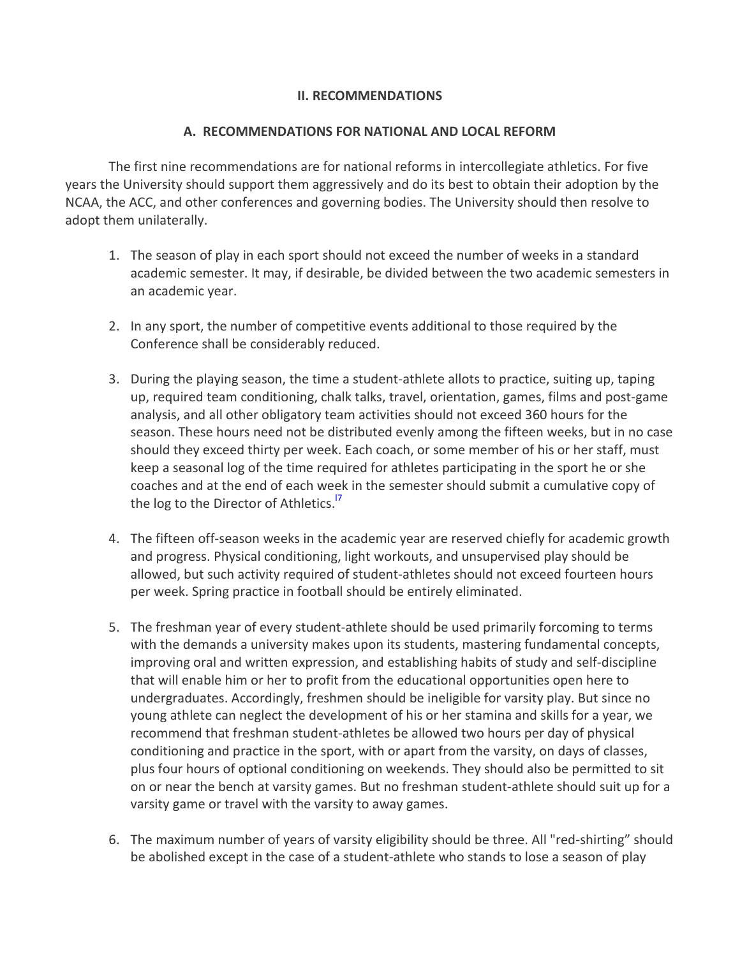## **II. RECOMMENDATIONS**

## **A. RECOMMENDATIONS FOR NATIONAL AND LOCAL REFORM**

The first nine recommendations are for national reforms in intercollegiate athletics. For five years the University should support them aggressively and do its best to obtain their adoption by the NCAA, the ACC, and other conferences and governing bodies. The University should then resolve to adopt them unilaterally.

- 1. The season of play in each sport should not exceed the number of weeks in a standard academic semester. It may, if desirable, be divided between the two academic semesters in an academic year.
- 2. In any sport, the number of competitive events additional to those required by the Conference shall be considerably reduced.
- 3. During the playing season, the time a student-athlete allots to practice, suiting up, taping up, required team conditioning, chalk talks, travel, orientation, games, films and post-game analysis, and all other obligatory team activities should not exceed 360 hours for the season. These hours need not be distributed evenly among the fifteen weeks, but in no case should they exceed thirty per week. Each coach, or some member of his or her staff, must keep a seasonal log of the time required for athletes participating in the sport he or she coaches and at the end of each week in the semester should submit a cumulative copy of the log to the Director of Athletics.<sup>17</sup>
- 4. The fifteen off-season weeks in the academic year are reserved chiefly for academic growth and progress. Physical conditioning, light workouts, and unsupervised play should be allowed, but such activity required of student-athletes should not exceed fourteen hours per week. Spring practice in football should be entirely eliminated.
- 5. The freshman year of every student-athlete should be used primarily forcoming to terms with the demands a university makes upon its students, mastering fundamental concepts, improving oral and written expression, and establishing habits of study and self-discipline that will enable him or her to profit from the educational opportunities open here to undergraduates. Accordingly, freshmen should be ineligible for varsity play. But since no young athlete can neglect the development of his or her stamina and skills for a year, we recommend that freshman student-athletes be allowed two hours per day of physical conditioning and practice in the sport, with or apart from the varsity, on days of classes, plus four hours of optional conditioning on weekends. They should also be permitted to sit on or near the bench at varsity games. But no freshman student-athlete should suit up for a varsity game or travel with the varsity to away games.
- 6. The maximum number of years of varsity eligibility should be three. All "red-shirting" should be abolished except in the case of a student-athlete who stands to lose a season of play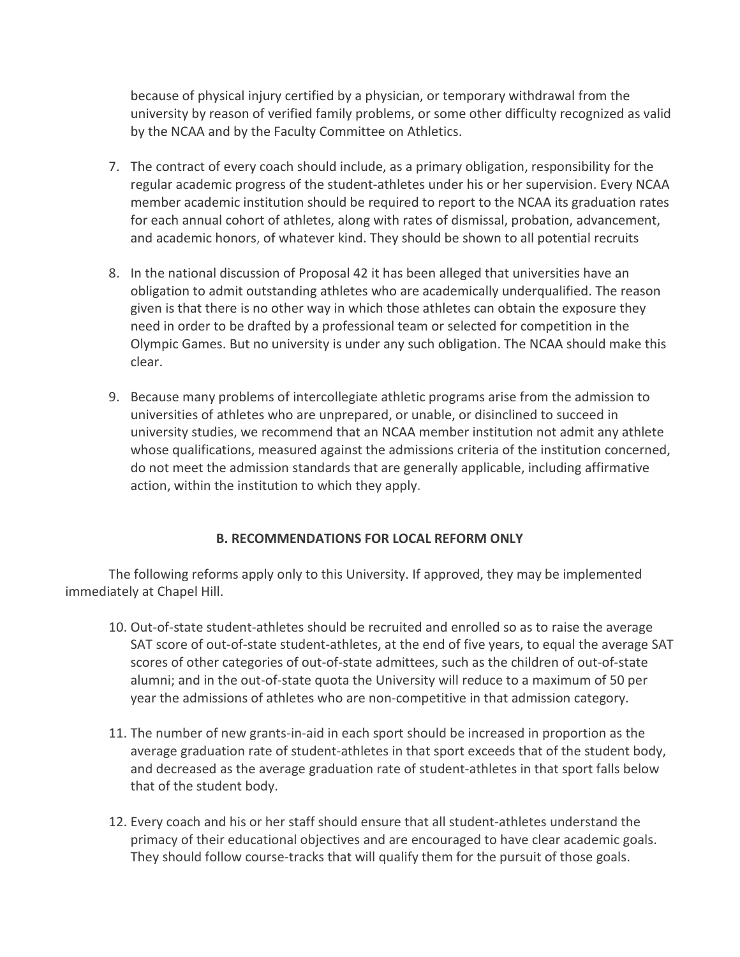because of physical injury certified by a physician, or temporary withdrawal from the university by reason of verified family problems, or some other difficulty recognized as valid by the NCAA and by the Faculty Committee on Athletics.

- 7. The contract of every coach should include, as a primary obligation, responsibility for the regular academic progress of the student-athletes under his or her supervision. Every NCAA member academic institution should be required to report to the NCAA its graduation rates for each annual cohort of athletes, along with rates of dismissal, probation, advancement, and academic honors, of whatever kind. They should be shown to all potential recruits
- 8. In the national discussion of Proposal 42 it has been alleged that universities have an obligation to admit outstanding athletes who are academically underqualified. The reason given is that there is no other way in which those athletes can obtain the exposure they need in order to be drafted by a professional team or selected for competition in the Olympic Games. But no university is under any such obligation. The NCAA should make this clear.
- 9. Because many problems of intercollegiate athletic programs arise from the admission to universities of athletes who are unprepared, or unable, or disinclined to succeed in university studies, we recommend that an NCAA member institution not admit any athlete whose qualifications, measured against the admissions criteria of the institution concerned, do not meet the admission standards that are generally applicable, including affirmative action, within the institution to which they apply.

# **B. RECOMMENDATIONS FOR LOCAL REFORM ONLY**

The following reforms apply only to this University. If approved, they may be implemented immediately at Chapel Hill.

- 10. Out-of-state student-athletes should be recruited and enrolled so as to raise the average SAT score of out-of-state student-athletes, at the end of five years, to equal the average SAT scores of other categories of out-of-state admittees, such as the children of out-of-state alumni; and in the out-of-state quota the University will reduce to a maximum of 50 per year the admissions of athletes who are non-competitive in that admission category.
- 11. The number of new grants-in-aid in each sport should be increased in proportion as the average graduation rate of student-athletes in that sport exceeds that of the student body, and decreased as the average graduation rate of student-athletes in that sport falls below that of the student body.
- 12. Every coach and his or her staff should ensure that all student-athletes understand the primacy of their educational objectives and are encouraged to have clear academic goals. They should follow course-tracks that will qualify them for the pursuit of those goals.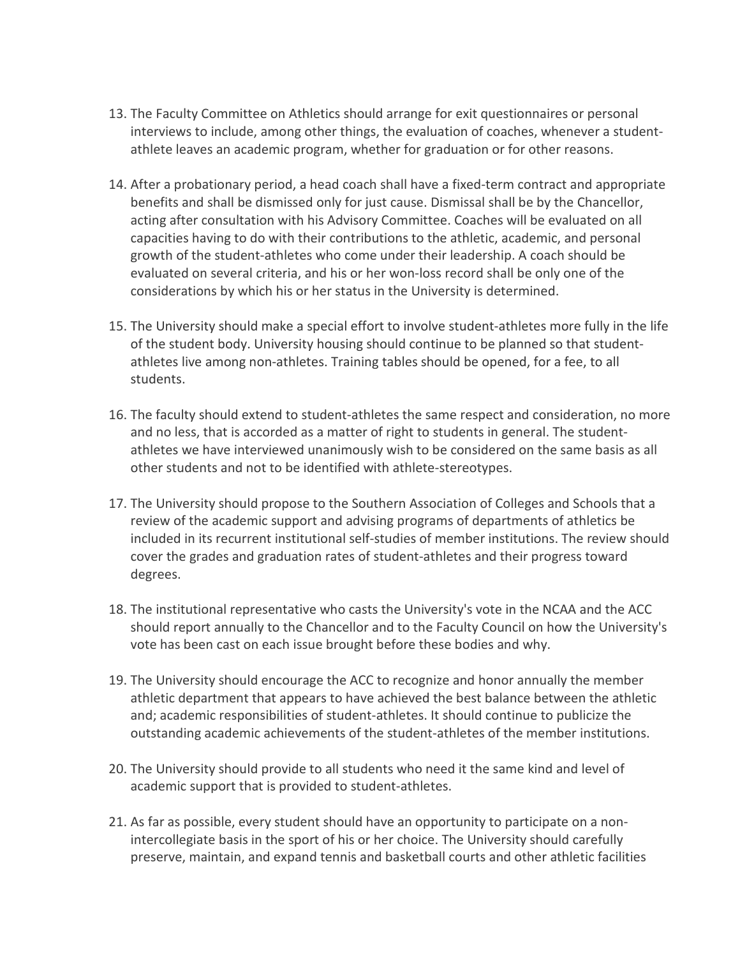- 13. The Faculty Committee on Athletics should arrange for exit questionnaires or personal interviews to include, among other things, the evaluation of coaches, whenever a studentathlete leaves an academic program, whether for graduation or for other reasons.
- 14. After a probationary period, a head coach shall have a fixed-term contract and appropriate benefits and shall be dismissed only for just cause. Dismissal shall be by the Chancellor, acting after consultation with his Advisory Committee. Coaches will be evaluated on all capacities having to do with their contributions to the athletic, academic, and personal growth of the student-athletes who come under their leadership. A coach should be evaluated on several criteria, and his or her won-loss record shall be only one of the considerations by which his or her status in the University is determined.
- 15. The University should make a special effort to involve student-athletes more fully in the life of the student body. University housing should continue to be planned so that studentathletes live among non-athletes. Training tables should be opened, for a fee, to all students.
- 16. The faculty should extend to student-athletes the same respect and consideration, no more and no less, that is accorded as a matter of right to students in general. The studentathletes we have interviewed unanimously wish to be considered on the same basis as all other students and not to be identified with athlete-stereotypes.
- 17. The University should propose to the Southern Association of Colleges and Schools that a review of the academic support and advising programs of departments of athletics be included in its recurrent institutional self-studies of member institutions. The review should cover the grades and graduation rates of student-athletes and their progress toward degrees.
- 18. The institutional representative who casts the University's vote in the NCAA and the ACC should report annually to the Chancellor and to the Faculty Council on how the University's vote has been cast on each issue brought before these bodies and why.
- 19. The University should encourage the ACC to recognize and honor annually the member athletic department that appears to have achieved the best balance between the athletic and; academic responsibilities of student-athletes. It should continue to publicize the outstanding academic achievements of the student-athletes of the member institutions.
- 20. The University should provide to all students who need it the same kind and level of academic support that is provided to student-athletes.
- 21. As far as possible, every student should have an opportunity to participate on a nonintercollegiate basis in the sport of his or her choice. The University should carefully preserve, maintain, and expand tennis and basketball courts and other athletic facilities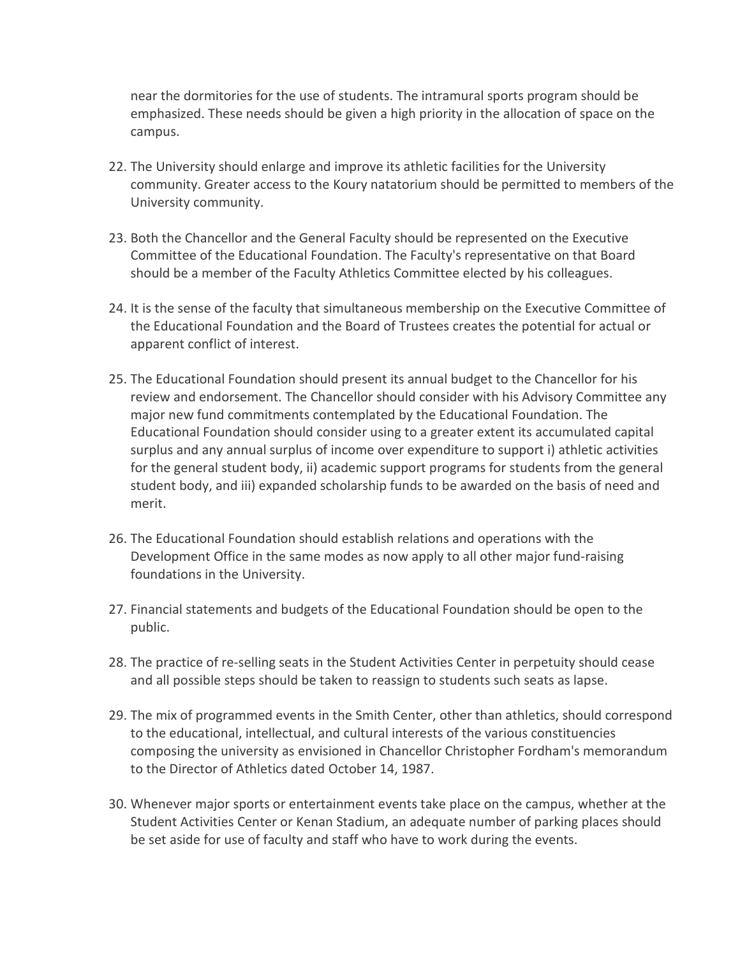near the dormitories for the use of students. The intramural sports program should be emphasized. These needs should be given a high priority in the allocation of space on the campus.

- 22. The University should enlarge and improve its athletic facilities for the University community. Greater access to the Koury natatorium should be permitted to members of the University community.
- 23. Both the Chancellor and the General Faculty should be represented on the Executive Committee of the Educational Foundation. The Faculty's representative on that Board should be a member of the Faculty Athletics Committee elected by his colleagues.
- 24. It is the sense of the faculty that simultaneous membership on the Executive Committee of the Educational Foundation and the Board of Trustees creates the potential for actual or apparent conflict of interest.
- 25. The Educational Foundation should present its annual budget to the Chancellor for his review and endorsement. The Chancellor should consider with his Advisory Committee any major new fund commitments contemplated by the Educational Foundation. The Educational Foundation should consider using to a greater extent its accumulated capital surplus and any annual surplus of income over expenditure to support i) athletic activities for the general student body, ii) academic support programs for students from the general student body, and iii) expanded scholarship funds to be awarded on the basis of need and merit.
- 26. The Educational Foundation should establish relations and operations with the Development Office in the same modes as now apply to all other major fund-raising foundations in the University.
- 27. Financial statements and budgets of the Educational Foundation should be open to the public.
- 28. The practice of re-selling seats in the Student Activities Center in perpetuity should cease and all possible steps should be taken to reassign to students such seats as lapse.
- 29. The mix of programmed events in the Smith Center, other than athletics, should correspond to the educational, intellectual, and cultural interests of the various constituencies composing the university as envisioned in Chancellor Christopher Fordham's memorandum to the Director of Athletics dated October 14, 1987.
- 30. Whenever major sports or entertainment events take place on the campus, whether at the Student Activities Center or Kenan Stadium, an adequate number of parking places should be set aside for use of faculty and staff who have to work during the events.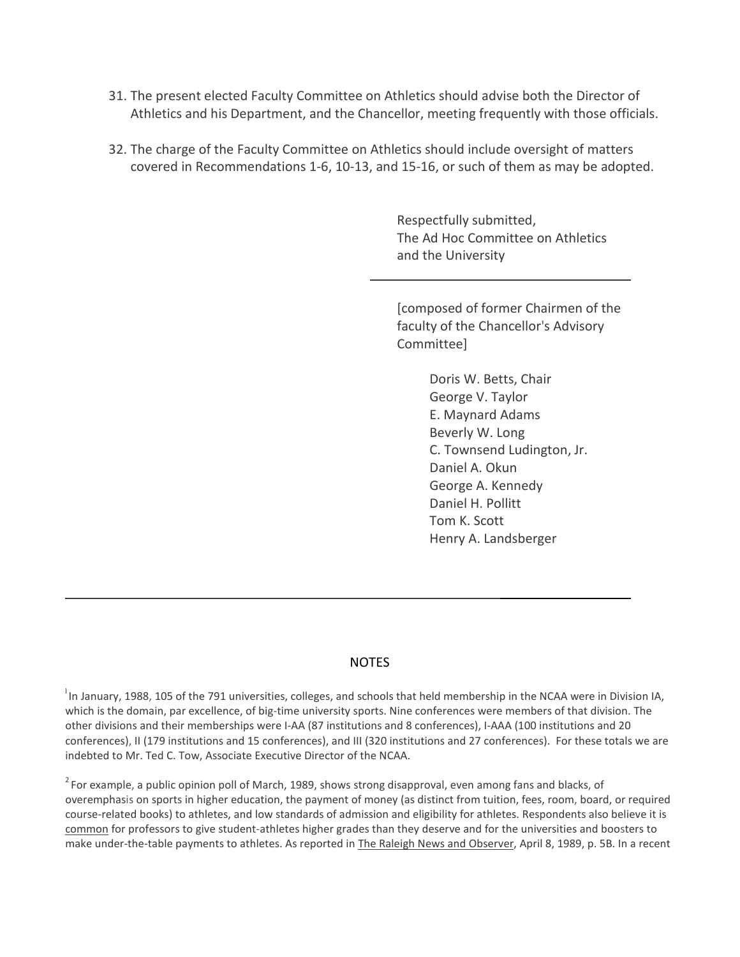- 31. The present elected Faculty Committee on Athletics should advise both the Director of Athletics and his Department, and the Chancellor, meeting frequently with those officials.
- 32. The charge of the Faculty Committee on Athletics should include oversight of matters covered in Recommendations 1-6, 10-13, and 15-16, or such of them as may be adopted.

Respectfully submitted, The Ad Hoc Committee on Athletics and the University

[composed of former Chairmen of the faculty of the Chancellor's Advisory Committee]

> Doris W. Betts, Chair George V. Taylor E. Maynard Adams Beverly W. Long C. Townsend Ludington, Jr. Daniel A. Okun George A. Kennedy Daniel H. Pollitt Tom K. Scott Henry A. Landsberger

#### NOTES

<span id="page-12-0"></span><sup>1</sup>In January, 1988, 105 of the 791 universities, colleges, and schools that held membership in the NCAA were in Division IA, which is the domain, par excellence, of big-time university sports. Nine conferences were members of that division. The other divisions and their memberships were I-AA (87 institutions and 8 conferences), I-AAA (100 institutions and 20 conferences), II (179 institutions and 15 conferences), and III (320 institutions and 27 conferences). For these totals we are indebted to Mr. Ted C. Tow, Associate Executive Director of the NCAA.

<span id="page-12-1"></span><sup>2</sup> For example, a public opinion poll of March, 1989, shows strong disapproval, even among fans and blacks, of overemphasis on sports in higher education, the payment of money (as distinct from tuition, fees, room, board, or required course-related books) to athletes, and low standards of admission and eligibility for athletes. Respondents also believe it is common for professors to give student-athletes higher grades than they deserve and for the universities and boosters to make under-the-table payments to athletes. As reported in The Raleigh News and Observer, April 8, 1989, p. 5B. In a recent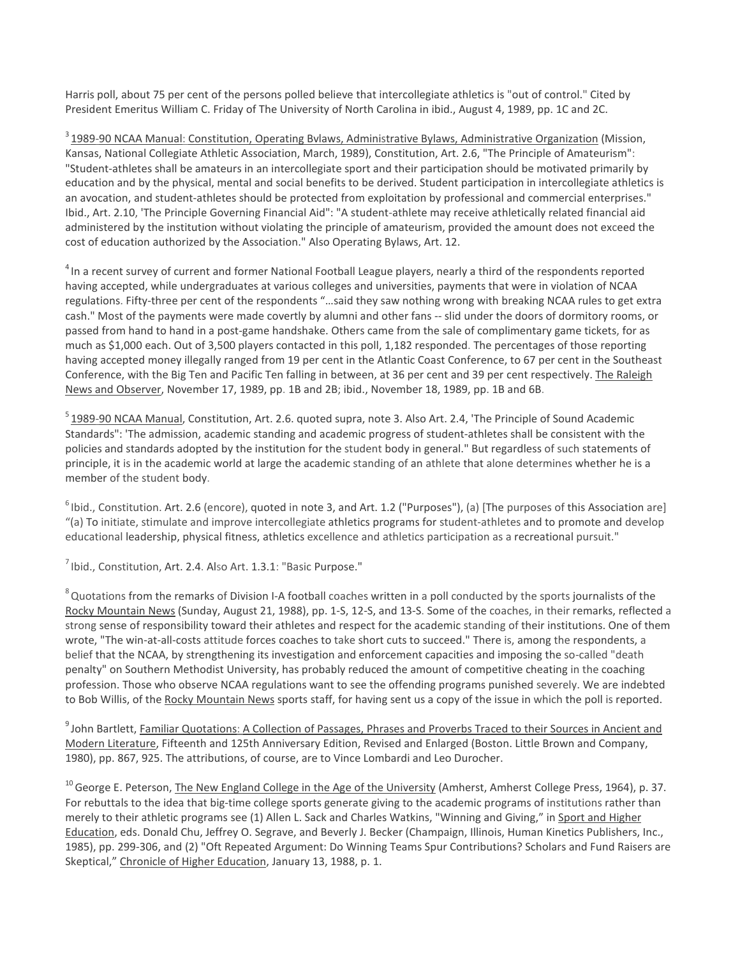Harris poll, about 75 per cent of the persons polled believe that intercollegiate athletics is "out of control." Cited by President Emeritus William C. Friday of The University of North Carolina in ibid., August 4, 1989, pp. 1C and 2C.

<span id="page-13-0"></span> $3$  1989-90 NCAA Manual: Constitution, Operating Bvlaws, Administrative Bylaws, Administrative Organization (Mission, Kansas, National Collegiate Athletic Association, March, 1989), Constitution, Art. 2.6, "The Principle of Amateurism": "Student-athletes shall be amateurs in an intercollegiate sport and their participation should be motivated primarily by education and by the physical, mental and social benefits to be derived. Student participation in intercollegiate athletics is an avocation, and student-athletes should be protected from exploitation by professional and commercial enterprises." Ibid., Art. 2.10, 'The Principle Governing Financial Aid": "A student-athlete may receive athletically related financial aid administered by the institution without violating the principle of amateurism, provided the amount does not exceed the cost of education authorized by the Association." Also Operating Bylaws, Art. 12.

<span id="page-13-1"></span><sup>4</sup> In a recent survey of current and former National Football League players, nearly a third of the respondents reported having accepted, while undergraduates at various colleges and universities, payments that were in violation of NCAA regulations. Fifty-three per cent of the respondents "…said they saw nothing wrong with breaking NCAA rules to get extra cash." Most of the payments were made covertly by alumni and other fans -- slid under the doors of dormitory rooms, or passed from hand to hand in a post-game handshake. Others came from the sale of complimentary game tickets, for as much as \$1,000 each. Out of 3,500 players contacted in this poll, 1,182 responded. The percentages of those reporting having accepted money illegally ranged from 19 per cent in the Atlantic Coast Conference, to 67 per cent in the Southeast Conference, with the Big Ten and Pacific Ten falling in between, at 36 per cent and 39 per cent respectively. The Raleigh News and Observer, November 17, 1989, pp. 1B and 2B; ibid., November 18, 1989, pp. 1B and 6B.

<span id="page-13-2"></span><sup>5</sup> 1989-90 NCAA Manual, Constitution, Art. 2.6. quoted supra, note 3. Also Art. 2.4, 'The Principle of Sound Academic Standards": 'The admission, academic standing and academic progress of student-athletes shall be consistent with the policies and standards adopted by the institution for the student body in general." But regardless of such statements of principle, it is in the academic world at large the academic standing of an athlete that alone determines whether he is a member of the student body.

<span id="page-13-3"></span> $^{\circ}$  Ibid., Constitution. Art. 2.6 (encore), quoted in note 3, and Art. 1.2 ("Purposes"), (a) [The purposes of this Association are] "(a) To initiate, stimulate and improve intercollegiate athletics programs for student-athletes and to promote and develop educational leadership, physical fitness, athletics excellence and athletics participation as a recreational pursuit."

 $<sup>7</sup>$ Ibid., Constitution, Art. 2.4. Also Art. 1.3.1: "Basic Purpose."</sup>

<span id="page-13-4"></span> $8$  Quotations from the remarks of Division I-A football coaches written in a poll conducted by the sports journalists of the Rocky Mountain News (Sunday, August 21, 1988), pp. 1-S, 12-S, and 13-S. Some of the coaches, in their remarks, reflected a strong sense of responsibility toward their athletes and respect for the academic standing of their institutions. One of them wrote, "The win-at-all-costs attitude forces coaches to take short cuts to succeed." There is, among the respondents, a belief that the NCAA, by strengthening its investigation and enforcement capacities and imposing the so-called "death penalty" on Southern Methodist University, has probably reduced the amount of competitive cheating in the coaching profession. Those who observe NCAA regulations want to see the offending programs punished severely. We are indebted to Bob Willis, of the Rocky Mountain News sports staff, for having sent us a copy of the issue in which the poll is reported.

<span id="page-13-5"></span><sup>9</sup> John Bartlett, Familiar Quotations: A Collection of Passages, Phrases and Proverbs Traced to their Sources in Ancient and Modern Literature, Fifteenth and 125th Anniversary Edition, Revised and Enlarged (Boston. Little Brown and Company, 1980), pp. 867, 925. The attributions, of course, are to Vince Lombardi and Leo Durocher.

<span id="page-13-6"></span><sup>10</sup> George E. Peterson, The New England College in the Age of the University (Amherst, Amherst College Press, 1964), p. 37. For rebuttals to the idea that big-time college sports generate giving to the academic programs of institutions rather than merely to their athletic programs see (1) Allen L. Sack and Charles Watkins, "Winning and Giving," in Sport and Higher Education, eds. Donald Chu, Jeffrey O. Segrave, and Beverly J. Becker (Champaign, Illinois, Human Kinetics Publishers, Inc., 1985), pp. 299-306, and (2) "Oft Repeated Argument: Do Winning Teams Spur Contributions? Scholars and Fund Raisers are Skeptical," Chronicle of Higher Education, January 13, 1988, p. 1.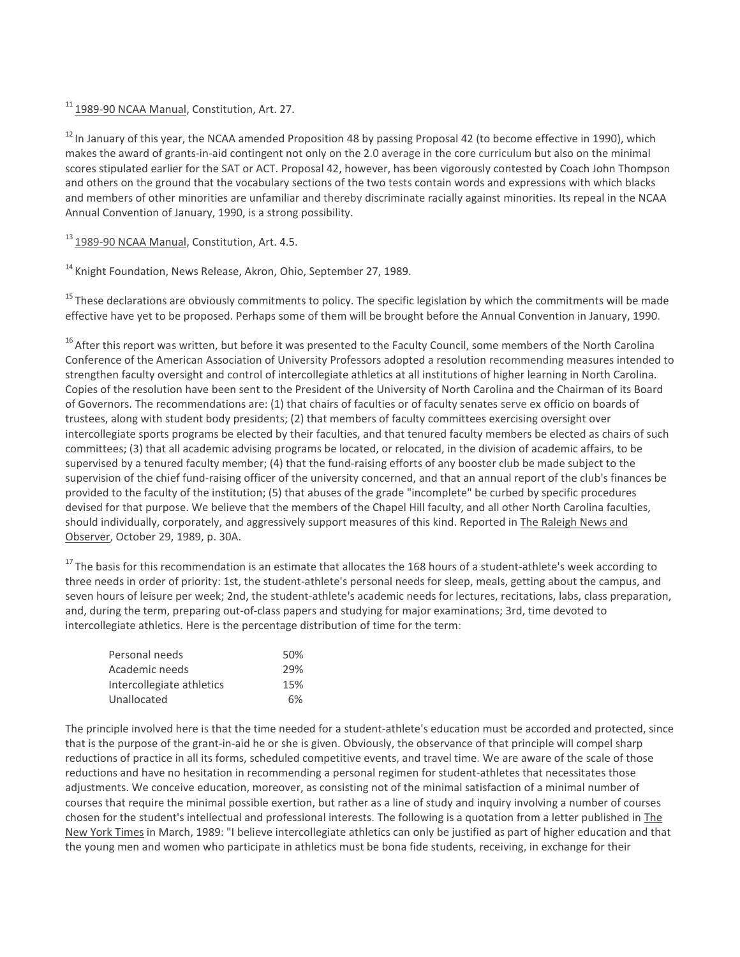<span id="page-14-1"></span> $12$  In January of this year, the NCAA amended Proposition 48 by passing Proposal 42 (to become effective in 1990), which makes the award of grants-in-aid contingent not only on the 2.0 average in the core curriculum but also on the minimal scores stipulated earlier for the SAT or ACT. Proposal 42, however, has been vigorously contested by Coach John Thompson and others on the ground that the vocabulary sections of the two tests contain words and expressions with which blacks and members of other minorities are unfamiliar and thereby discriminate racially against minorities. Its repeal in the NCAA Annual Convention of January, 1990, is a strong possibility.

<span id="page-14-2"></span> $13$  1989-90 NCAA Manual, Constitution, Art. 4.5.

<span id="page-14-3"></span><sup>14</sup> Knight Foundation, News Release, Akron, Ohio, September 27, 1989.

<span id="page-14-4"></span> $15$  These declarations are obviously commitments to policy. The specific legislation by which the commitments will be made effective have yet to be proposed. Perhaps some of them will be brought before the Annual Convention in January, 1990.

<span id="page-14-5"></span><sup>16</sup> After this report was written, but before it was presented to the Faculty Council, some members of the North Carolina Conference of the American Association of University Professors adopted a resolution recommending measures intended to strengthen faculty oversight and control of intercollegiate athletics at all institutions of higher learning in North Carolina. Copies of the resolution have been sent to the President of the University of North Carolina and the Chairman of its Board of Governors. The recommendations are: (1) that chairs of faculties or of faculty senates serve ex officio on boards of trustees, along with student body presidents; (2) that members of faculty committees exercising oversight over intercollegiate sports programs be elected by their faculties, and that tenured faculty members be elected as chairs of such committees; (3) that all academic advising programs be located, or relocated, in the division of academic affairs, to be supervised by a tenured faculty member; (4) that the fund-raising efforts of any booster club be made subject to the supervision of the chief fund-raising officer of the university concerned, and that an annual report of the club's finances be provided to the faculty of the institution; (5) that abuses of the grade "incomplete" be curbed by specific procedures devised for that purpose. We believe that the members of the Chapel Hill faculty, and all other North Carolina faculties, should individually, corporately, and aggressively support measures of this kind. Reported in The Raleigh News and Observer, October 29, 1989, p. 30A.

<span id="page-14-6"></span><sup>17</sup> The basis for this recommendation is an estimate that allocates the 168 hours of a student-athlete's week according to three needs in order of priority: 1st, the student-athlete's personal needs for sleep, meals, getting about the campus, and seven hours of leisure per week; 2nd, the student-athlete's academic needs for lectures, recitations, labs, class preparation, and, during the term, preparing out-of-class papers and studying for major examinations; 3rd, time devoted to intercollegiate athletics. Here is the percentage distribution of time for the term:

| Personal needs            | 50% |
|---------------------------|-----|
| Academic needs            | 29% |
| Intercollegiate athletics | 15% |
| Unallocated               | 6%  |

The principle involved here is that the time needed for a student-athlete's education must be accorded and protected, since that is the purpose of the grant-in-aid he or she is given. Obviously, the observance of that principle will compel sharp reductions of practice in all its forms, scheduled competitive events, and travel time. We are aware of the scale of those reductions and have no hesitation in recommending a personal regimen for student-athletes that necessitates those adjustments. We conceive education, moreover, as consisting not of the minimal satisfaction of a minimal number of courses that require the minimal possible exertion, but rather as a line of study and inquiry involving a number of courses chosen for the student's intellectual and professional interests. The following is a quotation from a letter published in The New York Times in March, 1989: "I believe intercollegiate athletics can only be justified as part of higher education and that the young men and women who participate in athletics must be bona fide students, receiving, in exchange for their

<span id="page-14-0"></span> $11$  1989-90 NCAA Manual, Constitution, Art. 27.